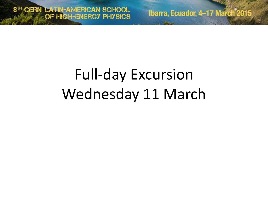Ibarra, Ecuador, 4-17 March<sup>2015</sup>

## Full-day Excursion Wednesday 11 March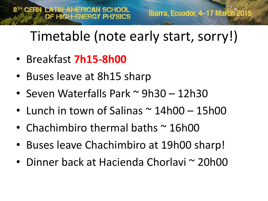### Timetable (note early start, sorry!)

- Breakfast **7h15-8h00**
- Buses leave at 8h15 sharp
- Seven Waterfalls Park ~ 9h30 12h30
- Lunch in town of Salinas  $\sim$  14h00 15h00
- Chachimbiro thermal baths  $\sim$  16h00
- Buses leave Chachimbiro at 19h00 sharp!
- Dinner back at Hacienda Chorlavi ~ 20h00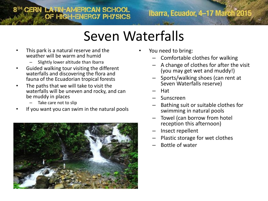## 8TH CERN LATIN-AMERICAN SCHOOL

Ibarra, Ecuador, 4-17 March<sup>\*</sup>2015

#### Seven Waterfalls

- This park is a natural reserve and the weather will be warm and humid
	- Slightly lower altitude than Ibarra
- Guided walking tour visiting the different waterfalls and discovering the flora and fauna of the Ecuadorian tropical forests
- The paths that we will take to visit the waterfalls will be uneven and rocky, and can be muddy in places
	- Take care not to slip
- If you want you can swim in the natural pools



- You need to bring:
	- Comfortable clothes for walking
	- A change of clothes for after the visit (you may get wet and muddy!)
	- Sports/walking shoes (can rent at Seven Waterfalls reserve)
	- Hat
	- Sunscreen
	- Bathing suit or suitable clothes for swimming in natural pools
	- Towel (can borrow from hotel reception this afternoon)
	- Insect repellent
	- Plastic storage for wet clothes
	- Bottle of water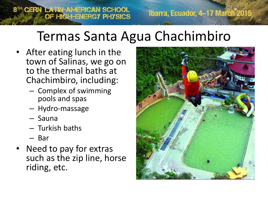# Termas Santa Agua Chachimbiro

• After eating lunch in the town of Salinas, we go on to the thermal baths at Chachimbiro, including:

8TH CERN LATIN-AMERICAN SCHOOL

- Complex of swimming pools and spas
- Hydro-massage
- Sauna
- Turkish baths
- Bar
- Need to pay for extras such as the zip line, horse riding, etc.



Ibarra, Ecuador, 4-17 March<sup>°2015</sup>